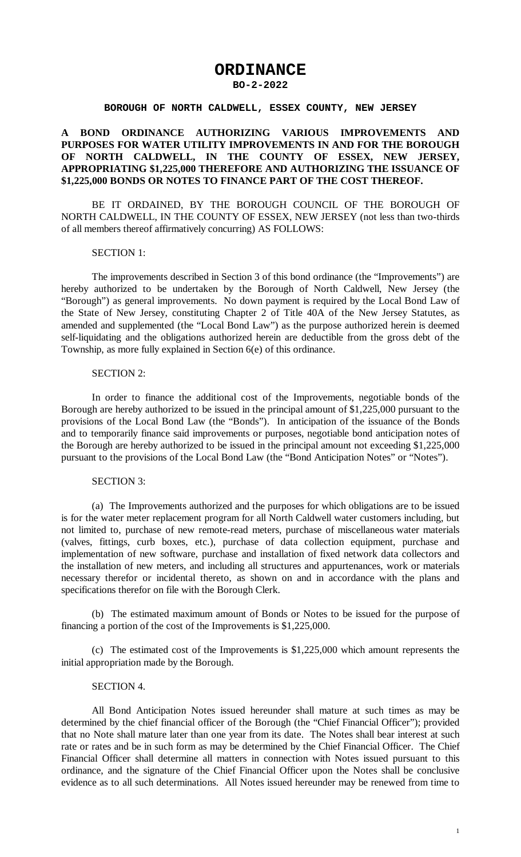# **ORDINANCE**

### **BO-2-2022**

#### **BOROUGH OF NORTH CALDWELL, ESSEX COUNTY, NEW JERSEY**

## **A BOND ORDINANCE AUTHORIZING VARIOUS IMPROVEMENTS AND PURPOSES FOR WATER UTILITY IMPROVEMENTS IN AND FOR THE BOROUGH OF NORTH CALDWELL, IN THE COUNTY OF ESSEX, NEW JERSEY, APPROPRIATING \$1,225,000 THEREFORE AND AUTHORIZING THE ISSUANCE OF \$1,225,000 BONDS OR NOTES TO FINANCE PART OF THE COST THEREOF.**

BE IT ORDAINED, BY THE BOROUGH COUNCIL OF THE BOROUGH OF NORTH CALDWELL, IN THE COUNTY OF ESSEX, NEW JERSEY (not less than two-thirds of all members thereof affirmatively concurring) AS FOLLOWS:

### SECTION 1:

The improvements described in Section 3 of this bond ordinance (the "Improvements") are hereby authorized to be undertaken by the Borough of North Caldwell, New Jersey (the "Borough") as general improvements. No down payment is required by the Local Bond Law of the State of New Jersey, constituting Chapter 2 of Title 40A of the New Jersey Statutes, as amended and supplemented (the "Local Bond Law") as the purpose authorized herein is deemed self-liquidating and the obligations authorized herein are deductible from the gross debt of the Township, as more fully explained in Section 6(e) of this ordinance.

### SECTION 2:

In order to finance the additional cost of the Improvements, negotiable bonds of the Borough are hereby authorized to be issued in the principal amount of \$1,225,000 pursuant to the provisions of the Local Bond Law (the "Bonds"). In anticipation of the issuance of the Bonds and to temporarily finance said improvements or purposes, negotiable bond anticipation notes of the Borough are hereby authorized to be issued in the principal amount not exceeding \$1,225,000 pursuant to the provisions of the Local Bond Law (the "Bond Anticipation Notes" or "Notes").

## SECTION 3:

(a) The Improvements authorized and the purposes for which obligations are to be issued is for the water meter replacement program for all North Caldwell water customers including, but not limited to, purchase of new remote-read meters, purchase of miscellaneous water materials (valves, fittings, curb boxes, etc.), purchase of data collection equipment, purchase and implementation of new software, purchase and installation of fixed network data collectors and the installation of new meters, and including all structures and appurtenances, work or materials necessary therefor or incidental thereto, as shown on and in accordance with the plans and specifications therefor on file with the Borough Clerk.

(b) The estimated maximum amount of Bonds or Notes to be issued for the purpose of financing a portion of the cost of the Improvements is \$1,225,000.

(c) The estimated cost of the Improvements is \$1,225,000 which amount represents the initial appropriation made by the Borough.

### SECTION 4.

All Bond Anticipation Notes issued hereunder shall mature at such times as may be determined by the chief financial officer of the Borough (the "Chief Financial Officer"); provided that no Note shall mature later than one year from its date. The Notes shall bear interest at such rate or rates and be in such form as may be determined by the Chief Financial Officer. The Chief Financial Officer shall determine all matters in connection with Notes issued pursuant to this ordinance, and the signature of the Chief Financial Officer upon the Notes shall be conclusive evidence as to all such determinations. All Notes issued hereunder may be renewed from time to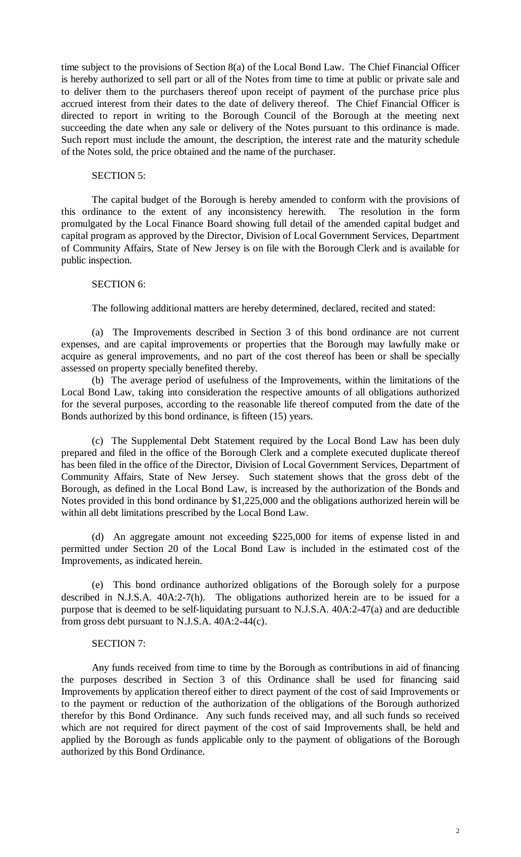time subject to the provisions of Section 8(a) of the Local Bond Law. The Chief Financial Officer is hereby authorized to sell part or all of the Notes from time to time at public or private sale and to deliver them to the purchasers thereof upon receipt of payment of the purchase price plus accrued interest from their dates to the date of delivery thereof. The Chief Financial Officer is directed to report in writing to the Borough Council of the Borough at the meeting next succeeding the date when any sale or delivery of the Notes pursuant to this ordinance is made. Such report must include the amount, the description, the interest rate and the maturity schedule of the Notes sold, the price obtained and the name of the purchaser.

## SECTION 5:

The capital budget of the Borough is hereby amended to conform with the provisions of this ordinance to the extent of any inconsistency herewith. The resolution in the form promulgated by the Local Finance Board showing full detail of the amended capital budget and capital program as approved by the Director, Division of Local Government Services, Department of Community Affairs, State of New Jersey is on file with the Borough Clerk and is available for public inspection.

## SECTION 6:

The following additional matters are hereby determined, declared, recited and stated:

(a) The Improvements described in Section 3 of this bond ordinance are not current expenses, and are capital improvements or properties that the Borough may lawfully make or acquire as general improvements, and no part of the cost thereof has been or shall be specially assessed on property specially benefited thereby.

(b) The average period of usefulness of the Improvements, within the limitations of the Local Bond Law, taking into consideration the respective amounts of all obligations authorized for the several purposes, according to the reasonable life thereof computed from the date of the Bonds authorized by this bond ordinance, is fifteen (15) years.

(c) The Supplemental Debt Statement required by the Local Bond Law has been duly prepared and filed in the office of the Borough Clerk and a complete executed duplicate thereof has been filed in the office of the Director, Division of Local Government Services, Department of Community Affairs, State of New Jersey. Such statement shows that the gross debt of the Borough, as defined in the Local Bond Law, is increased by the authorization of the Bonds and Notes provided in this bond ordinance by \$1,225,000 and the obligations authorized herein will be within all debt limitations prescribed by the Local Bond Law.

(d) An aggregate amount not exceeding \$225,000 for items of expense listed in and permitted under Section 20 of the Local Bond Law is included in the estimated cost of the Improvements, as indicated herein.

(e) This bond ordinance authorized obligations of the Borough solely for a purpose described in N.J.S.A. 40A:2-7(h). The obligations authorized herein are to be issued for a purpose that is deemed to be self-liquidating pursuant to N.J.S.A. 40A:2-47(a) and are deductible from gross debt pursuant to N.J.S.A. 40A:2-44(c).

### SECTION 7:

Any funds received from time to time by the Borough as contributions in aid of financing the purposes described in Section 3 of this Ordinance shall be used for financing said Improvements by application thereof either to direct payment of the cost of said Improvements or to the payment or reduction of the authorization of the obligations of the Borough authorized therefor by this Bond Ordinance. Any such funds received may, and all such funds so received which are not required for direct payment of the cost of said Improvements shall, be held and applied by the Borough as funds applicable only to the payment of obligations of the Borough authorized by this Bond Ordinance.